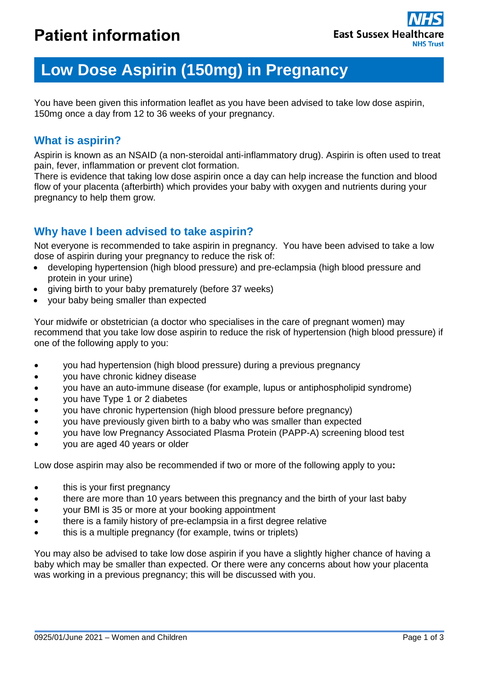# **Low Dose Aspirin (150mg) in Pregnancy**

You have been given this information leaflet as you have been advised to take low dose aspirin, 150mg once a day from 12 to 36 weeks of your pregnancy.

## **What is aspirin?**

Aspirin is known as an NSAID (a non-steroidal anti-inflammatory drug). Aspirin is often used to treat pain, fever, inflammation or prevent clot formation.

There is evidence that taking low dose aspirin once a day can help increase the function and blood flow of your placenta (afterbirth) which provides your baby with oxygen and nutrients during your pregnancy to help them grow.

# **Why have I been advised to take aspirin?**

Not everyone is recommended to take aspirin in pregnancy. You have been advised to take a low dose of aspirin during your pregnancy to reduce the risk of:

- developing hypertension (high blood pressure) and pre-eclampsia (high blood pressure and protein in your urine)
- giving birth to your baby prematurely (before 37 weeks)
- your baby being smaller than expected

Your midwife or obstetrician (a doctor who specialises in the care of pregnant women) may recommend that you take low dose aspirin to reduce the risk of hypertension (high blood pressure) if one of the following apply to you:

- you had hypertension (high blood pressure) during a previous pregnancy
- you have chronic kidney disease
- you have an auto-immune disease (for example, lupus or antiphospholipid syndrome)
- you have Type 1 or 2 diabetes
- you have chronic hypertension (high blood pressure before pregnancy)
- you have previously given birth to a baby who was smaller than expected
- you have low Pregnancy Associated Plasma Protein (PAPP-A) screening blood test
- you are aged 40 years or older

Low dose aspirin may also be recommended if two or more of the following apply to you**:**

- this is your first pregnancy
- there are more than 10 years between this pregnancy and the birth of your last baby
- your BMI is 35 or more at your booking appointment
- there is a family history of pre-eclampsia in a first degree relative
- this is a multiple pregnancy (for example, twins or triplets)

You may also be advised to take low dose aspirin if you have a slightly higher chance of having a baby which may be smaller than expected. Or there were any concerns about how your placenta was working in a previous pregnancy; this will be discussed with you.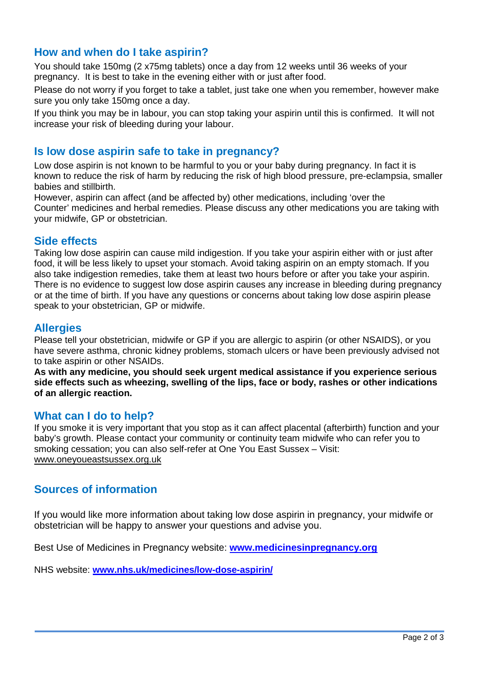## **How and when do I take aspirin?**

You should take 150mg (2 x75mg tablets) once a day from 12 weeks until 36 weeks of your pregnancy. It is best to take in the evening either with or just after food.

Please do not worry if you forget to take a tablet, just take one when you remember, however make sure you only take 150mg once a day.

If you think you may be in labour, you can stop taking your aspirin until this is confirmed. It will not increase your risk of bleeding during your labour.

## **Is low dose aspirin safe to take in pregnancy?**

Low dose aspirin is not known to be harmful to you or your baby during pregnancy. In fact it is known to reduce the risk of harm by reducing the risk of high blood pressure, pre-eclampsia, smaller babies and stillbirth.

However, aspirin can affect (and be affected by) other medications, including 'over the Counter' medicines and herbal remedies. Please discuss any other medications you are taking with your midwife, GP or obstetrician.

#### **Side effects**

Taking low dose aspirin can cause mild indigestion. If you take your aspirin either with or just after food, it will be less likely to upset your stomach. Avoid taking aspirin on an empty stomach. If you also take indigestion remedies, take them at least two hours before or after you take your aspirin. There is no evidence to suggest low dose aspirin causes any increase in bleeding during pregnancy or at the time of birth. If you have any questions or concerns about taking low dose aspirin please speak to your obstetrician, GP or midwife.

## **Allergies**

Please tell your obstetrician, midwife or GP if you are allergic to aspirin (or other NSAIDS), or you have severe asthma, chronic kidney problems, stomach ulcers or have been previously advised not to take aspirin or other NSAIDs.

**As with any medicine, you should seek urgent medical assistance if you experience serious side effects such as wheezing, swelling of the lips, face or body, rashes or other indications of an allergic reaction.**

## **What can I do to help?**

If you smoke it is very important that you stop as it can affect placental (afterbirth) function and your baby's growth. Please contact your community or continuity team midwife who can refer you to smoking cessation; you can also self-refer at One You East Sussex – Visit: [www.oneyoueastsussex.org.uk](http://www.oneyoueastsussex.org.uk/)

## **Sources of information**

If you would like more information about taking low dose aspirin in pregnancy, your midwife or obstetrician will be happy to answer your questions and advise you.

Best Use of Medicines in Pregnancy website: **[www.medicinesinpregnancy.org](http://www.medicinesinpregnancy.org/)**

NHS website: **[www.nhs.uk/medicines/low-dose-aspirin/](http://www.nhs.uk/medicines/low-dose-aspirin/)**